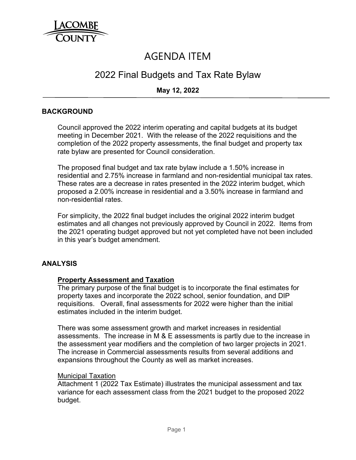

# AGENDA ITEM

## 2022 Final Budgets and Tax Rate Bylaw

## **May 12, 2022**

## **BACKGROUND**

Council approved the 2022 interim operating and capital budgets at its budget meeting in December 2021. With the release of the 2022 requisitions and the completion of the 2022 property assessments, the final budget and property tax rate bylaw are presented for Council consideration.

The proposed final budget and tax rate bylaw include a 1.50% increase in residential and 2.75% increase in farmland and non-residential municipal tax rates. These rates are a decrease in rates presented in the 2022 interim budget, which proposed a 2.00% increase in residential and a 3.50% increase in farmland and non-residential rates.

For simplicity, the 2022 final budget includes the original 2022 interim budget estimates and all changes not previously approved by Council in 2022. Items from the 2021 operating budget approved but not yet completed have not been included in this year's budget amendment.

#### **ANALYSIS**

#### **Property Assessment and Taxation**

The primary purpose of the final budget is to incorporate the final estimates for property taxes and incorporate the 2022 school, senior foundation, and DIP requisitions. Overall, final assessments for 2022 were higher than the initial estimates included in the interim budget.

There was some assessment growth and market increases in residential assessments. The increase in M & E assessments is partly due to the increase in the assessment year modifiers and the completion of two larger projects in 2021. The increase in Commercial assessments results from several additions and expansions throughout the County as well as market increases.

#### Municipal Taxation

Attachment 1 (2022 Tax Estimate) illustrates the municipal assessment and tax variance for each assessment class from the 2021 budget to the proposed 2022 budget.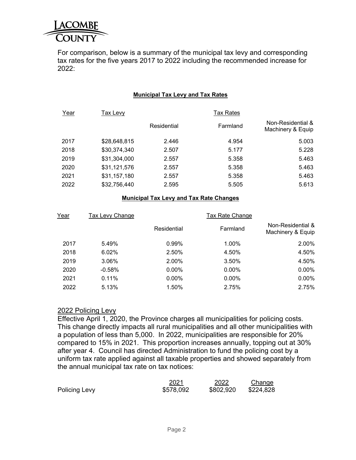

For comparison, below is a summary of the municipal tax levy and corresponding tax rates for the five years 2017 to 2022 including the recommended increase for 2022:

#### **Municipal Tax Levy and Tax Rates**

| Year | Tax Levv     |             |          |                                        |  |
|------|--------------|-------------|----------|----------------------------------------|--|
|      |              | Residential | Farmland | Non-Residential &<br>Machinery & Equip |  |
| 2017 | \$28,648,815 | 2.446       | 4.954    | 5.003                                  |  |
| 2018 | \$30,374,340 | 2.507       | 5.177    | 5.228                                  |  |
| 2019 | \$31,304,000 | 2.557       | 5.358    | 5.463                                  |  |
| 2020 | \$31,121,576 | 2.557       | 5.358    | 5.463                                  |  |
| 2021 | \$31,157,180 | 2.557       | 5.358    | 5.463                                  |  |
| 2022 | \$32,756,440 | 2.595       | 5.505    | 5.613                                  |  |

#### **Municipal Tax Levy and Tax Rate Changes**

| Year | Tax Levy Change | <b>Tax Rate Change</b> |          |                                        |
|------|-----------------|------------------------|----------|----------------------------------------|
|      |                 | Residential            | Farmland | Non-Residential &<br>Machinery & Equip |
| 2017 | 5.49%           | 0.99%                  | 1.00%    | 2.00%                                  |
| 2018 | 6.02%           | 2.50%                  | 4.50%    | 4.50%                                  |
| 2019 | 3.06%           | 2.00%                  | 3.50%    | 4.50%                                  |
| 2020 | $-0.58%$        | $0.00\%$               | $0.00\%$ | $0.00\%$                               |
| 2021 | 0.11%           | $0.00\%$               | $0.00\%$ | $0.00\%$                               |
| 2022 | 5.13%           | 1.50%                  | 2.75%    | 2.75%                                  |

#### 2022 Policing Levy

Effective April 1, 2020, the Province charges all municipalities for policing costs. This change directly impacts all rural municipalities and all other municipalities with a population of less than 5,000. In 2022, municipalities are responsible for 20% compared to 15% in 2021. This proportion increases annually, topping out at 30% after year 4. Council has directed Administration to fund the policing cost by a uniform tax rate applied against all taxable properties and showed separately from the annual municipal tax rate on tax notices:

|                      | 2021      | 2022      | Change    |
|----------------------|-----------|-----------|-----------|
| <b>Policing Levy</b> | \$578,092 | \$802,920 | \$224,828 |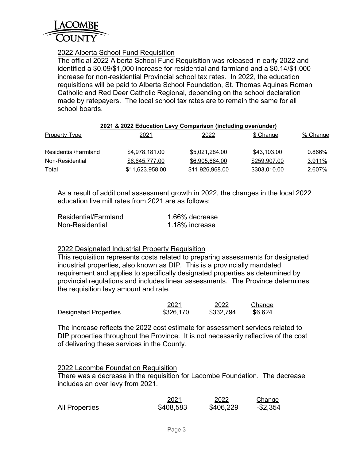

## 2022 Alberta School Fund Requisition

The official 2022 Alberta School Fund Requisition was released in early 2022 and identified a \$0.09/\$1,000 increase for residential and farmland and a \$0.14/\$1,000 increase for non-residential Provincial school tax rates. In 2022, the education requisitions will be paid to Alberta School Foundation, St. Thomas Aquinas Roman Catholic and Red Deer Catholic Regional, depending on the school declaration made by ratepayers. The local school tax rates are to remain the same for all school boards.

| 2021 & 2022 Education Levy Comparison (including over/under) |
|--------------------------------------------------------------|
|--------------------------------------------------------------|

| Property Type        | 2021            | 2022            | \$ Change    | % Change |
|----------------------|-----------------|-----------------|--------------|----------|
| Residential/Farmland | \$4,978,181.00  | \$5,021,284.00  | \$43,103.00  | 0.866%   |
| Non-Residential      | \$6,645,777.00  | \$6,905,684.00  | \$259,907.00 | 3.911%   |
| Total                | \$11,623,958.00 | \$11,926,968.00 | \$303,010.00 | 2.607%   |

As a result of additional assessment growth in 2022, the changes in the local 2022 education live mill rates from 2021 are as follows:

| Residential/Farmland | 1.66% decrease |
|----------------------|----------------|
| Non-Residential      | 1.18% increase |

#### 2022 Designated Industrial Property Requisition

This requisition represents costs related to preparing assessments for designated industrial properties, also known as DIP. This is a provincially mandated requirement and applies to specifically designated properties as determined by provincial regulations and includes linear assessments. The Province determines the requisition levy amount and rate.

|                              | 2021      | 2022      | <b>Change</b> |
|------------------------------|-----------|-----------|---------------|
| <b>Designated Properties</b> | \$326,170 | \$332,794 | \$6,624       |

The increase reflects the 2022 cost estimate for assessment services related to DIP properties throughout the Province. It is not necessarily reflective of the cost of delivering these services in the County.

#### 2022 Lacombe Foundation Requisition

There was a decrease in the requisition for Lacombe Foundation. The decrease includes an over levy from 2021.

|                       | 2021      | 2022      | Change   |
|-----------------------|-----------|-----------|----------|
| <b>All Properties</b> | \$408,583 | \$406,229 | -\$2,354 |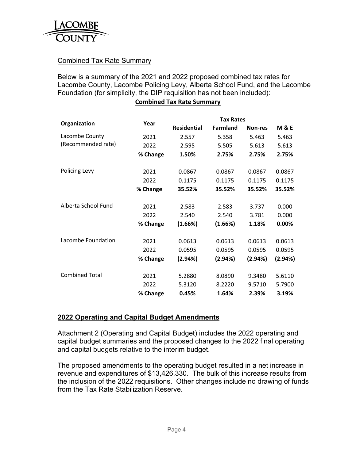

## Combined Tax Rate Summary

Below is a summary of the 2021 and 2022 proposed combined tax rates for Lacombe County, Lacombe Policing Levy, Alberta School Fund, and the Lacombe Foundation (for simplicity, the DIP requisition has not been included):

#### **Combined Tax Rate Summary**

|                       |          | <b>Tax Rates</b>   |                 |         |                |
|-----------------------|----------|--------------------|-----------------|---------|----------------|
| Organization          | Year     | <b>Residential</b> | <b>Farmland</b> | Non-res | <b>M&amp;E</b> |
| Lacombe County        | 2021     | 2.557              | 5.358           | 5.463   | 5.463          |
| (Recommended rate)    | 2022     | 2.595              | 5.505           | 5.613   | 5.613          |
|                       | % Change | 1.50%              | 2.75%           | 2.75%   | 2.75%          |
|                       |          |                    |                 |         |                |
| Policing Levy         | 2021     | 0.0867             | 0.0867          | 0.0867  | 0.0867         |
|                       | 2022     | 0.1175             | 0.1175          | 0.1175  | 0.1175         |
|                       | % Change | 35.52%             | 35.52%          | 35.52%  | 35.52%         |
| Alberta School Fund   |          |                    |                 |         |                |
|                       | 2021     | 2.583              | 2.583           | 3.737   | 0.000          |
|                       | 2022     | 2.540              | 2.540           | 3.781   | 0.000          |
|                       | % Change | (1.66%)            | (1.66%)         | 1.18%   | 0.00%          |
| Lacombe Foundation    | 2021     | 0.0613             | 0.0613          | 0.0613  | 0.0613         |
|                       | 2022     | 0.0595             | 0.0595          | 0.0595  | 0.0595         |
|                       | % Change | (2.94%)            | (2.94%)         | (2.94%) | (2.94%)        |
| <b>Combined Total</b> | 2021     | 5.2880             | 8.0890          | 9.3480  | 5.6110         |
|                       |          |                    |                 |         |                |
|                       | 2022     | 5.3120             | 8.2220          | 9.5710  | 5.7900         |
|                       | % Change | 0.45%              | 1.64%           | 2.39%   | 3.19%          |

#### **2022 Operating and Capital Budget Amendments**

Attachment 2 (Operating and Capital Budget) includes the 2022 operating and capital budget summaries and the proposed changes to the 2022 final operating and capital budgets relative to the interim budget.

The proposed amendments to the operating budget resulted in a net increase in revenue and expenditures of \$13,426,330. The bulk of this increase results from the inclusion of the 2022 requisitions. Other changes include no drawing of funds from the Tax Rate Stabilization Reserve.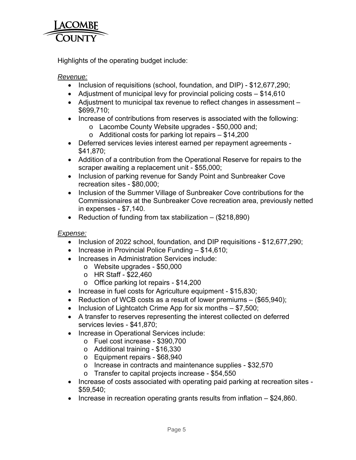

Highlights of the operating budget include:

## *Revenue:*

- Inclusion of requisitions (school, foundation, and DIP) \$12,677,290;
- Adjustment of municipal levy for provincial policing costs \$14,610
- Adjustment to municipal tax revenue to reflect changes in assessment \$699,710;
- Increase of contributions from reserves is associated with the following:
	- o Lacombe County Website upgrades \$50,000 and;
	- $\circ$  Additional costs for parking lot repairs  $-$  \$14,200
- Deferred services levies interest earned per repayment agreements \$41,870;
- Addition of a contribution from the Operational Reserve for repairs to the scraper awaiting a replacement unit - \$55,000;
- Inclusion of parking revenue for Sandy Point and Sunbreaker Cove recreation sites - \$80,000;
- Inclusion of the Summer Village of Sunbreaker Cove contributions for the Commissionaires at the Sunbreaker Cove recreation area, previously netted in expenses - \$7,140.
- Reduction of funding from tax stabilization  $-$  (\$218,890)

## *Expense:*

- Inclusion of 2022 school, foundation, and DIP requisitions \$12,677,290;
- $\bullet$  Increase in Provincial Police Funding \$14,610;
- Increases in Administration Services include:
	- o Website upgrades \$50,000
	- o HR Staff \$22,460
	- o Office parking lot repairs \$14,200
- Increase in fuel costs for Agriculture equipment \$15,830;
- Reduction of WCB costs as a result of lower premiums  $-$  (\$65,940);
- $\bullet$  Inclusion of Lightcatch Crime App for six months  $-$  \$7,500;
- A transfer to reserves representing the interest collected on deferred services levies - \$41,870;
- Increase in Operational Services include:
	- o Fuel cost increase \$390,700
	- o Additional training \$16,330
	- o Equipment repairs \$68,940
	- o Increase in contracts and maintenance supplies \$32,570
	- o Transfer to capital projects increase \$54,550
- Increase of costs associated with operating paid parking at recreation sites -\$59,540;
- Increase in recreation operating grants results from inflation  $-$  \$24,860.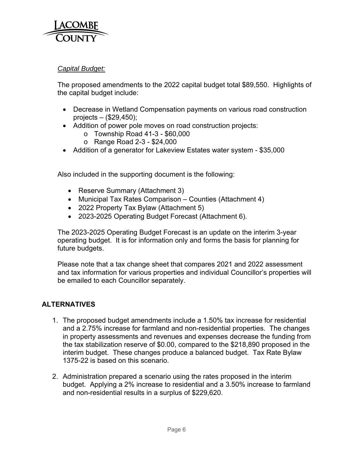

## *Capital Budget:*

The proposed amendments to the 2022 capital budget total \$89,550. Highlights of the capital budget include:

- Decrease in Wetland Compensation payments on various road construction projects – (\$29,450);
- Addition of power pole moves on road construction projects:
	- $\circ$  Township Road 41-3 \$60,000
	- o Range Road 2-3 \$24,000
- Addition of a generator for Lakeview Estates water system \$35,000

Also included in the supporting document is the following:

- Reserve Summary (Attachment 3)
- Municipal Tax Rates Comparison Counties (Attachment 4)
- 2022 Property Tax Bylaw (Attachment 5)
- 2023-2025 Operating Budget Forecast (Attachment 6).

The 2023-2025 Operating Budget Forecast is an update on the interim 3-year operating budget. It is for information only and forms the basis for planning for future budgets.

Please note that a tax change sheet that compares 2021 and 2022 assessment and tax information for various properties and individual Councillor's properties will be emailed to each Councillor separately.

## **ALTERNATIVES**

- 1. The proposed budget amendments include a 1.50% tax increase for residential and a 2.75% increase for farmland and non-residential properties. The changes in property assessments and revenues and expenses decrease the funding from the tax stabilization reserve of \$0.00, compared to the \$218,890 proposed in the interim budget. These changes produce a balanced budget. Tax Rate Bylaw 1375-22 is based on this scenario.
- 2. Administration prepared a scenario using the rates proposed in the interim budget. Applying a 2% increase to residential and a 3.50% increase to farmland and non-residential results in a surplus of \$229,620.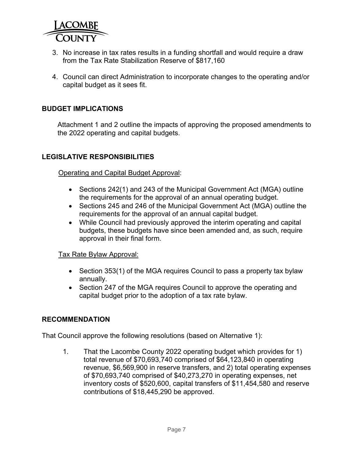

- 3. No increase in tax rates results in a funding shortfall and would require a draw from the Tax Rate Stabilization Reserve of \$817,160
- 4. Council can direct Administration to incorporate changes to the operating and/or capital budget as it sees fit.

## **BUDGET IMPLICATIONS**

Attachment 1 and 2 outline the impacts of approving the proposed amendments to the 2022 operating and capital budgets.

#### **LEGISLATIVE RESPONSIBILITIES**

Operating and Capital Budget Approval:

- Sections 242(1) and 243 of the Municipal Government Act (MGA) outline the requirements for the approval of an annual operating budget.
- Sections 245 and 246 of the Municipal Government Act (MGA) outline the requirements for the approval of an annual capital budget.
- While Council had previously approved the interim operating and capital budgets, these budgets have since been amended and, as such, require approval in their final form.

#### Tax Rate Bylaw Approval:

- Section 353(1) of the MGA requires Council to pass a property tax bylaw annually.
- Section 247 of the MGA requires Council to approve the operating and capital budget prior to the adoption of a tax rate bylaw.

#### **RECOMMENDATION**

That Council approve the following resolutions (based on Alternative 1):

1. That the Lacombe County 2022 operating budget which provides for 1) total revenue of \$70,693,740 comprised of \$64,123,840 in operating revenue, \$6,569,900 in reserve transfers, and 2) total operating expenses of \$70,693,740 comprised of \$40,273,270 in operating expenses, net inventory costs of \$520,600, capital transfers of \$11,454,580 and reserve contributions of \$18,445,290 be approved.